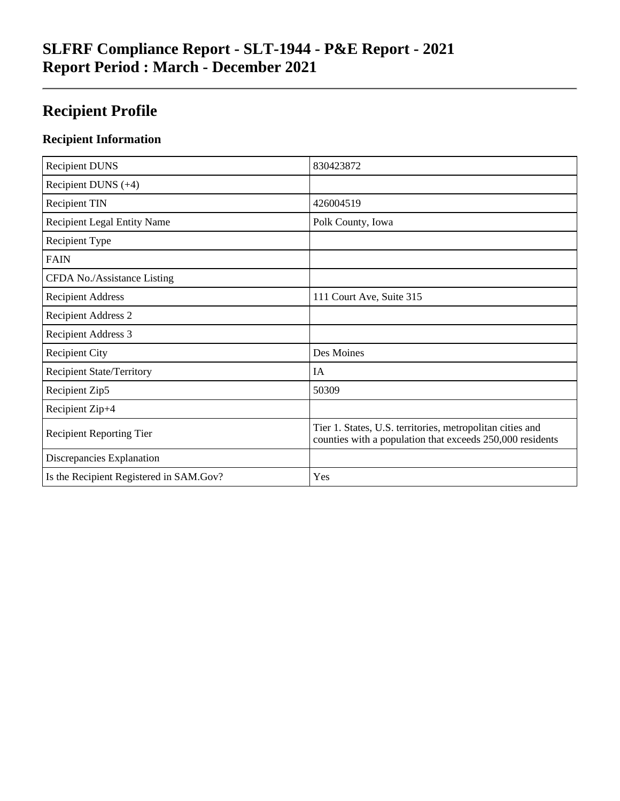# **SLFRF Compliance Report - SLT-1944 - P&E Report - 2021 Report Period : March - December 2021**

# **Recipient Profile**

### **Recipient Information**

| <b>Recipient DUNS</b>                   | 830423872                                                                                                              |
|-----------------------------------------|------------------------------------------------------------------------------------------------------------------------|
| Recipient DUNS $(+4)$                   |                                                                                                                        |
| <b>Recipient TIN</b>                    | 426004519                                                                                                              |
| <b>Recipient Legal Entity Name</b>      | Polk County, Iowa                                                                                                      |
| Recipient Type                          |                                                                                                                        |
| <b>FAIN</b>                             |                                                                                                                        |
| CFDA No./Assistance Listing             |                                                                                                                        |
| <b>Recipient Address</b>                | 111 Court Ave, Suite 315                                                                                               |
| <b>Recipient Address 2</b>              |                                                                                                                        |
| <b>Recipient Address 3</b>              |                                                                                                                        |
| <b>Recipient City</b>                   | Des Moines                                                                                                             |
| <b>Recipient State/Territory</b>        | <b>IA</b>                                                                                                              |
| Recipient Zip5                          | 50309                                                                                                                  |
| Recipient Zip+4                         |                                                                                                                        |
| <b>Recipient Reporting Tier</b>         | Tier 1. States, U.S. territories, metropolitan cities and<br>counties with a population that exceeds 250,000 residents |
| Discrepancies Explanation               |                                                                                                                        |
| Is the Recipient Registered in SAM.Gov? | Yes                                                                                                                    |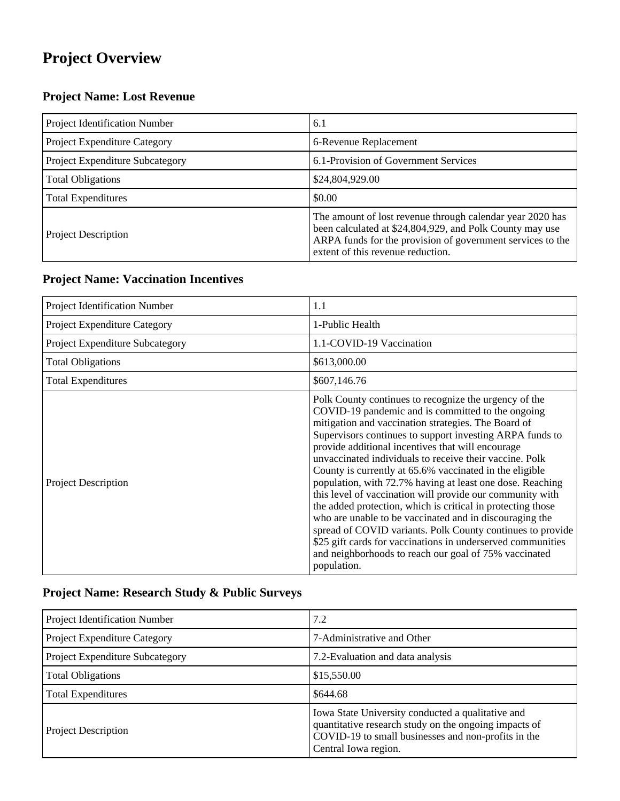# **Project Overview**

## **Project Name: Lost Revenue**

| Project Identification Number   | 6.1                                                                                                                                                                                                                      |
|---------------------------------|--------------------------------------------------------------------------------------------------------------------------------------------------------------------------------------------------------------------------|
| Project Expenditure Category    | 6-Revenue Replacement                                                                                                                                                                                                    |
| Project Expenditure Subcategory | 6.1-Provision of Government Services                                                                                                                                                                                     |
| <b>Total Obligations</b>        | \$24,804,929.00                                                                                                                                                                                                          |
| <b>Total Expenditures</b>       | \$0.00                                                                                                                                                                                                                   |
| <b>Project Description</b>      | The amount of lost revenue through calendar year 2020 has<br>been calculated at \$24,804,929, and Polk County may use<br>ARPA funds for the provision of government services to the<br>extent of this revenue reduction. |

#### **Project Name: Vaccination Incentives**

| Project Identification Number   | 1.1                                                                                                                                                                                                                                                                                                                                                                                                                                                                                                                                                                                                                                                                                                                                                                                                                                                               |
|---------------------------------|-------------------------------------------------------------------------------------------------------------------------------------------------------------------------------------------------------------------------------------------------------------------------------------------------------------------------------------------------------------------------------------------------------------------------------------------------------------------------------------------------------------------------------------------------------------------------------------------------------------------------------------------------------------------------------------------------------------------------------------------------------------------------------------------------------------------------------------------------------------------|
| Project Expenditure Category    | 1-Public Health                                                                                                                                                                                                                                                                                                                                                                                                                                                                                                                                                                                                                                                                                                                                                                                                                                                   |
| Project Expenditure Subcategory | 1.1-COVID-19 Vaccination                                                                                                                                                                                                                                                                                                                                                                                                                                                                                                                                                                                                                                                                                                                                                                                                                                          |
| <b>Total Obligations</b>        | \$613,000.00                                                                                                                                                                                                                                                                                                                                                                                                                                                                                                                                                                                                                                                                                                                                                                                                                                                      |
| <b>Total Expenditures</b>       | \$607,146.76                                                                                                                                                                                                                                                                                                                                                                                                                                                                                                                                                                                                                                                                                                                                                                                                                                                      |
| <b>Project Description</b>      | Polk County continues to recognize the urgency of the<br>COVID-19 pandemic and is committed to the ongoing<br>mitigation and vaccination strategies. The Board of<br>Supervisors continues to support investing ARPA funds to<br>provide additional incentives that will encourage<br>unvaccinated individuals to receive their vaccine. Polk<br>County is currently at 65.6% vaccinated in the eligible<br>population, with 72.7% having at least one dose. Reaching<br>this level of vaccination will provide our community with<br>the added protection, which is critical in protecting those<br>who are unable to be vaccinated and in discouraging the<br>spread of COVID variants. Polk County continues to provide<br>\$25 gift cards for vaccinations in underserved communities<br>and neighborhoods to reach our goal of 75% vaccinated<br>population. |

## **Project Name: Research Study & Public Surveys**

| Project Identification Number   | 7.2                                                                                                                                                                                       |
|---------------------------------|-------------------------------------------------------------------------------------------------------------------------------------------------------------------------------------------|
| Project Expenditure Category    | 7-Administrative and Other                                                                                                                                                                |
| Project Expenditure Subcategory | 7.2-Evaluation and data analysis                                                                                                                                                          |
| <b>Total Obligations</b>        | \$15,550.00                                                                                                                                                                               |
| <b>Total Expenditures</b>       | \$644.68                                                                                                                                                                                  |
| <b>Project Description</b>      | Iowa State University conducted a qualitative and<br>quantitative research study on the ongoing impacts of<br>COVID-19 to small businesses and non-profits in the<br>Central Iowa region. |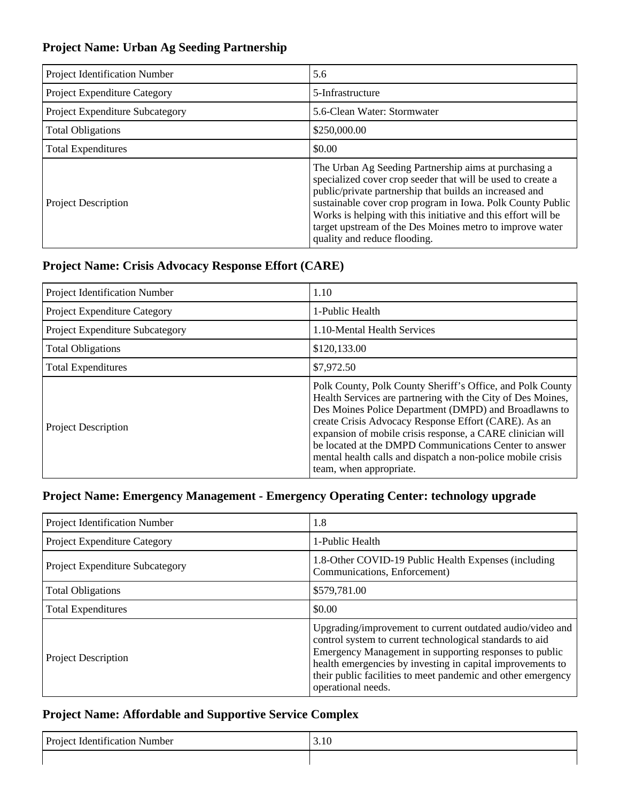### **Project Name: Urban Ag Seeding Partnership**

| <b>Project Identification Number</b> | 5.6                                                                                                                                                                                                                                                                                                                                                                                                        |
|--------------------------------------|------------------------------------------------------------------------------------------------------------------------------------------------------------------------------------------------------------------------------------------------------------------------------------------------------------------------------------------------------------------------------------------------------------|
| <b>Project Expenditure Category</b>  | 5-Infrastructure                                                                                                                                                                                                                                                                                                                                                                                           |
| Project Expenditure Subcategory      | 5.6-Clean Water: Stormwater                                                                                                                                                                                                                                                                                                                                                                                |
| <b>Total Obligations</b>             | \$250,000.00                                                                                                                                                                                                                                                                                                                                                                                               |
| <b>Total Expenditures</b>            | \$0.00                                                                                                                                                                                                                                                                                                                                                                                                     |
| <b>Project Description</b>           | The Urban Ag Seeding Partnership aims at purchasing a<br>specialized cover crop seeder that will be used to create a<br>public/private partnership that builds an increased and<br>sustainable cover crop program in Iowa. Polk County Public<br>Works is helping with this initiative and this effort will be<br>target upstream of the Des Moines metro to improve water<br>quality and reduce flooding. |

#### **Project Name: Crisis Advocacy Response Effort (CARE)**

| Project Identification Number   | 1.10                                                                                                                                                                                                                                                                                                                                                                                                                                                         |
|---------------------------------|--------------------------------------------------------------------------------------------------------------------------------------------------------------------------------------------------------------------------------------------------------------------------------------------------------------------------------------------------------------------------------------------------------------------------------------------------------------|
| Project Expenditure Category    | 1-Public Health                                                                                                                                                                                                                                                                                                                                                                                                                                              |
| Project Expenditure Subcategory | 1.10-Mental Health Services                                                                                                                                                                                                                                                                                                                                                                                                                                  |
| <b>Total Obligations</b>        | \$120,133.00                                                                                                                                                                                                                                                                                                                                                                                                                                                 |
| <b>Total Expenditures</b>       | \$7,972.50                                                                                                                                                                                                                                                                                                                                                                                                                                                   |
| <b>Project Description</b>      | Polk County, Polk County Sheriff's Office, and Polk County<br>Health Services are partnering with the City of Des Moines,<br>Des Moines Police Department (DMPD) and Broadlawns to<br>create Crisis Advocacy Response Effort (CARE). As an<br>expansion of mobile crisis response, a CARE clinician will<br>be located at the DMPD Communications Center to answer<br>mental health calls and dispatch a non-police mobile crisis<br>team, when appropriate. |

#### **Project Name: Emergency Management - Emergency Operating Center: technology upgrade**

| Project Identification Number          | 1.8                                                                                                                                                                                                                                                                                                                                 |
|----------------------------------------|-------------------------------------------------------------------------------------------------------------------------------------------------------------------------------------------------------------------------------------------------------------------------------------------------------------------------------------|
| Project Expenditure Category           | 1-Public Health                                                                                                                                                                                                                                                                                                                     |
| <b>Project Expenditure Subcategory</b> | 1.8-Other COVID-19 Public Health Expenses (including<br>Communications, Enforcement)                                                                                                                                                                                                                                                |
| <b>Total Obligations</b>               | \$579,781.00                                                                                                                                                                                                                                                                                                                        |
| <b>Total Expenditures</b>              | \$0.00                                                                                                                                                                                                                                                                                                                              |
| <b>Project Description</b>             | Upgrading/improvement to current outdated audio/video and<br>control system to current technological standards to aid<br>Emergency Management in supporting responses to public<br>health emergencies by investing in capital improvements to<br>their public facilities to meet pandemic and other emergency<br>operational needs. |

### **Project Name: Affordable and Supportive Service Complex**

| <b>Project Identification Number</b> | 3.10 |
|--------------------------------------|------|
|                                      |      |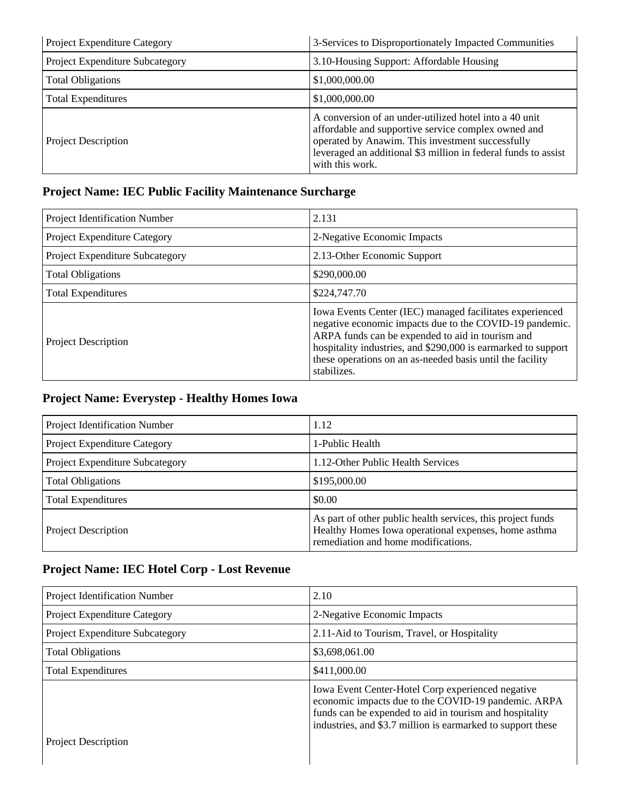| Project Expenditure Category    | 3-Services to Disproportionately Impacted Communities                                                                                                                                                                                                  |
|---------------------------------|--------------------------------------------------------------------------------------------------------------------------------------------------------------------------------------------------------------------------------------------------------|
| Project Expenditure Subcategory | 3.10-Housing Support: Affordable Housing                                                                                                                                                                                                               |
| <b>Total Obligations</b>        | \$1,000,000.00                                                                                                                                                                                                                                         |
| <b>Total Expenditures</b>       | \$1,000,000.00                                                                                                                                                                                                                                         |
| <b>Project Description</b>      | A conversion of an under-utilized hotel into a 40 unit<br>affordable and supportive service complex owned and<br>operated by Anawim. This investment successfully<br>leveraged an additional \$3 million in federal funds to assist<br>with this work. |

### **Project Name: IEC Public Facility Maintenance Surcharge**

| Project Identification Number          | 2.131                                                                                                                                                                                                                                                                                                                |
|----------------------------------------|----------------------------------------------------------------------------------------------------------------------------------------------------------------------------------------------------------------------------------------------------------------------------------------------------------------------|
| Project Expenditure Category           | 2-Negative Economic Impacts                                                                                                                                                                                                                                                                                          |
| <b>Project Expenditure Subcategory</b> | 2.13-Other Economic Support                                                                                                                                                                                                                                                                                          |
| <b>Total Obligations</b>               | \$290,000.00                                                                                                                                                                                                                                                                                                         |
| <b>Total Expenditures</b>              | \$224,747.70                                                                                                                                                                                                                                                                                                         |
| <b>Project Description</b>             | Iowa Events Center (IEC) managed facilitates experienced<br>negative economic impacts due to the COVID-19 pandemic.<br>ARPA funds can be expended to aid in tourism and<br>hospitality industries, and \$290,000 is earmarked to support<br>these operations on an as-needed basis until the facility<br>stabilizes. |

### **Project Name: Everystep - Healthy Homes Iowa**

| Project Identification Number   | 1.12                                                                                                                                                       |
|---------------------------------|------------------------------------------------------------------------------------------------------------------------------------------------------------|
| Project Expenditure Category    | 1-Public Health                                                                                                                                            |
| Project Expenditure Subcategory | 1.12-Other Public Health Services                                                                                                                          |
| <b>Total Obligations</b>        | \$195,000.00                                                                                                                                               |
| <b>Total Expenditures</b>       | \$0.00                                                                                                                                                     |
| <b>Project Description</b>      | As part of other public health services, this project funds<br>Healthy Homes Iowa operational expenses, home asthma<br>remediation and home modifications. |

## **Project Name: IEC Hotel Corp - Lost Revenue**

| Project Identification Number   | 2.10                                                                                                                                                                                                                               |
|---------------------------------|------------------------------------------------------------------------------------------------------------------------------------------------------------------------------------------------------------------------------------|
| Project Expenditure Category    | 2-Negative Economic Impacts                                                                                                                                                                                                        |
| Project Expenditure Subcategory | 2.11-Aid to Tourism, Travel, or Hospitality                                                                                                                                                                                        |
| <b>Total Obligations</b>        | \$3,698,061.00                                                                                                                                                                                                                     |
| <b>Total Expenditures</b>       | \$411,000.00                                                                                                                                                                                                                       |
|                                 | Iowa Event Center-Hotel Corp experienced negative<br>economic impacts due to the COVID-19 pandemic. ARPA<br>funds can be expended to aid in tourism and hospitality<br>industries, and \$3.7 million is earmarked to support these |
| <b>Project Description</b>      |                                                                                                                                                                                                                                    |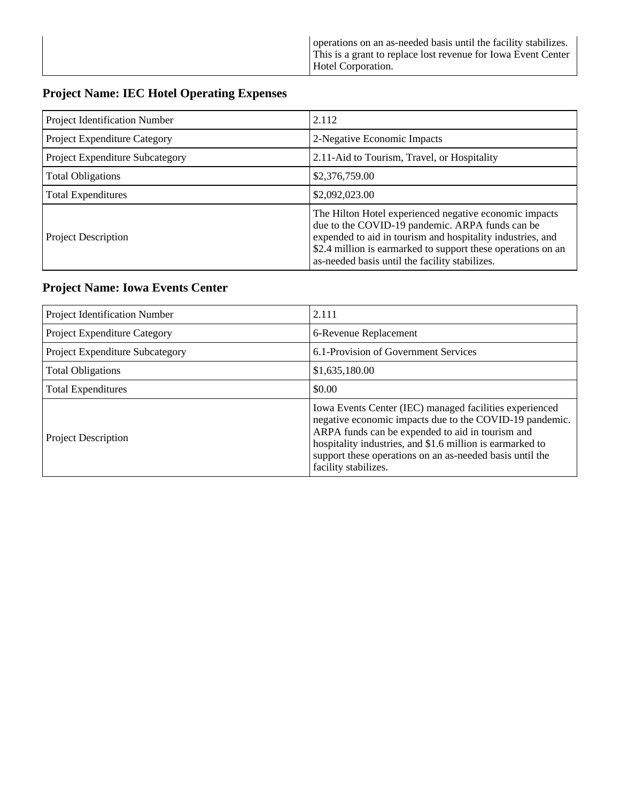|  | operations on an as-needed basis until the facility stabilizes.<br>This is a grant to replace lost revenue for Iowa Event Center<br>Hotel Corporation. |
|--|--------------------------------------------------------------------------------------------------------------------------------------------------------|
|--|--------------------------------------------------------------------------------------------------------------------------------------------------------|

## **Project Name: IEC Hotel Operating Expenses**

| Project Identification Number   | 2.112                                                                                                                                                                                                                                                                                     |
|---------------------------------|-------------------------------------------------------------------------------------------------------------------------------------------------------------------------------------------------------------------------------------------------------------------------------------------|
| Project Expenditure Category    | 2-Negative Economic Impacts                                                                                                                                                                                                                                                               |
| Project Expenditure Subcategory | 2.11-Aid to Tourism, Travel, or Hospitality                                                                                                                                                                                                                                               |
| <b>Total Obligations</b>        | \$2,376,759.00                                                                                                                                                                                                                                                                            |
| <b>Total Expenditures</b>       | \$2,092,023.00                                                                                                                                                                                                                                                                            |
| <b>Project Description</b>      | The Hilton Hotel experienced negative economic impacts<br>due to the COVID-19 pandemic. ARPA funds can be<br>expended to aid in tourism and hospitality industries, and<br>\$2.4 million is earmarked to support these operations on an<br>as-needed basis until the facility stabilizes. |

### **Project Name: Iowa Events Center**

| Project Identification Number          | 2.111                                                                                                                                                                                                                                                                                                                   |
|----------------------------------------|-------------------------------------------------------------------------------------------------------------------------------------------------------------------------------------------------------------------------------------------------------------------------------------------------------------------------|
| <b>Project Expenditure Category</b>    | 6-Revenue Replacement                                                                                                                                                                                                                                                                                                   |
| <b>Project Expenditure Subcategory</b> | 6.1-Provision of Government Services                                                                                                                                                                                                                                                                                    |
| <b>Total Obligations</b>               | \$1,635,180.00                                                                                                                                                                                                                                                                                                          |
| <b>Total Expenditures</b>              | \$0.00                                                                                                                                                                                                                                                                                                                  |
| <b>Project Description</b>             | Iowa Events Center (IEC) managed facilities experienced<br>negative economic impacts due to the COVID-19 pandemic.<br>ARPA funds can be expended to aid in tourism and<br>hospitality industries, and \$1.6 million is earmarked to<br>support these operations on an as-needed basis until the<br>facility stabilizes. |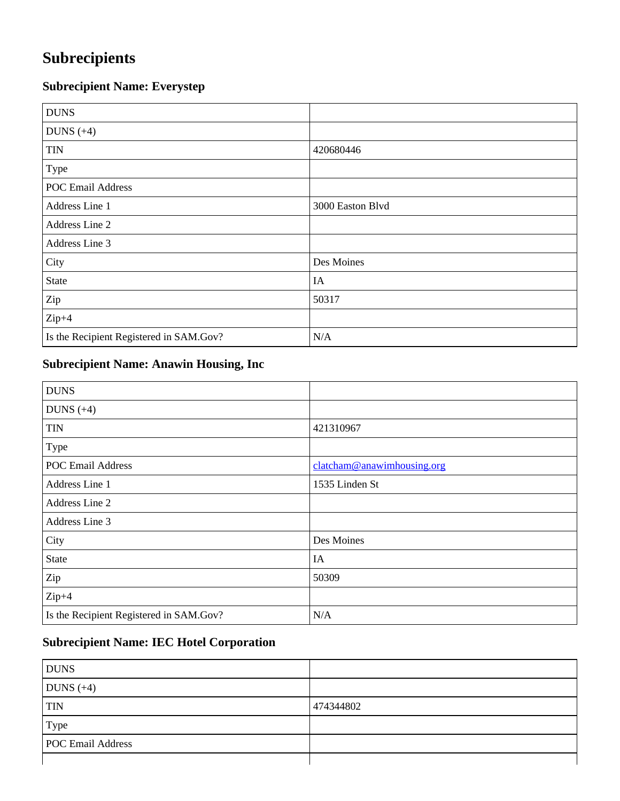# **Subrecipients**

## **Subrecipient Name: Everystep**

| <b>DUNS</b>                             |                  |
|-----------------------------------------|------------------|
| DUNS $(+4)$                             |                  |
| <b>TIN</b>                              | 420680446        |
| Type                                    |                  |
| <b>POC Email Address</b>                |                  |
| Address Line 1                          | 3000 Easton Blvd |
| Address Line 2                          |                  |
| Address Line 3                          |                  |
| City                                    | Des Moines       |
| State                                   | IA               |
| Zip                                     | 50317            |
| $Zip+4$                                 |                  |
| Is the Recipient Registered in SAM.Gov? | N/A              |

## **Subrecipient Name: Anawin Housing, Inc**

| <b>DUNS</b>                             |                            |
|-----------------------------------------|----------------------------|
| DUNS $(+4)$                             |                            |
| <b>TIN</b>                              | 421310967                  |
| Type                                    |                            |
| <b>POC Email Address</b>                | clatcham@anawimhousing.org |
| Address Line 1                          | 1535 Linden St             |
| Address Line 2                          |                            |
| Address Line 3                          |                            |
| City                                    | Des Moines                 |
| <b>State</b>                            | IA                         |
| Zip                                     | 50309                      |
| $Zip+4$                                 |                            |
| Is the Recipient Registered in SAM.Gov? | N/A                        |

### **Subrecipient Name: IEC Hotel Corporation**

| <b>DUNS</b>              |           |
|--------------------------|-----------|
| DUNS $(+4)$              |           |
| <b>TIN</b>               | 474344802 |
| Type                     |           |
| <b>POC Email Address</b> |           |
|                          |           |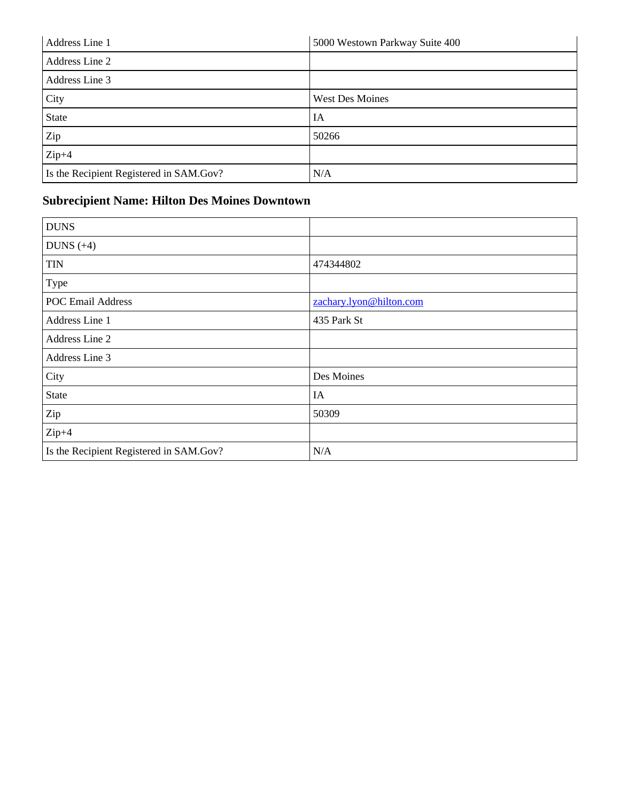| Address Line 1                          | 5000 Westown Parkway Suite 400 |
|-----------------------------------------|--------------------------------|
| Address Line 2                          |                                |
| Address Line 3                          |                                |
| City                                    | <b>West Des Moines</b>         |
| <b>State</b>                            | IA                             |
| Zip                                     | 50266                          |
| $Zip+4$                                 |                                |
| Is the Recipient Registered in SAM.Gov? | N/A                            |

## **Subrecipient Name: Hilton Des Moines Downtown**

| <b>DUNS</b>                             |                         |
|-----------------------------------------|-------------------------|
| DUNS $(+4)$                             |                         |
| <b>TIN</b>                              | 474344802               |
| Type                                    |                         |
| <b>POC Email Address</b>                | zachary.lyon@hilton.com |
| Address Line 1                          | 435 Park St             |
| Address Line 2                          |                         |
| Address Line 3                          |                         |
| City                                    | Des Moines              |
| <b>State</b>                            | IA                      |
| Zip                                     | 50309                   |
| $Zip+4$                                 |                         |
| Is the Recipient Registered in SAM.Gov? | N/A                     |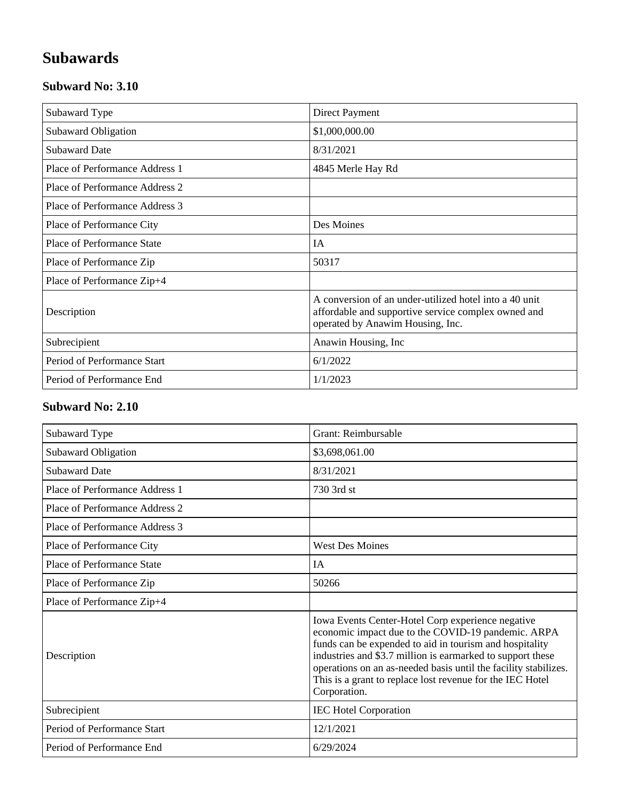# **Subawards**

### **Subward No: 3.10**

| Subaward Type                  | Direct Payment                                                                                                                                    |
|--------------------------------|---------------------------------------------------------------------------------------------------------------------------------------------------|
| <b>Subaward Obligation</b>     | \$1,000,000.00                                                                                                                                    |
| <b>Subaward Date</b>           | 8/31/2021                                                                                                                                         |
| Place of Performance Address 1 | 4845 Merle Hay Rd                                                                                                                                 |
| Place of Performance Address 2 |                                                                                                                                                   |
| Place of Performance Address 3 |                                                                                                                                                   |
| Place of Performance City      | Des Moines                                                                                                                                        |
| Place of Performance State     | IA                                                                                                                                                |
| Place of Performance Zip       | 50317                                                                                                                                             |
| Place of Performance Zip+4     |                                                                                                                                                   |
| Description                    | A conversion of an under-utilized hotel into a 40 unit<br>affordable and supportive service complex owned and<br>operated by Anawim Housing, Inc. |
| Subrecipient                   | Anawin Housing, Inc.                                                                                                                              |
| Period of Performance Start    | 6/1/2022                                                                                                                                          |
| Period of Performance End      | 1/1/2023                                                                                                                                          |

### **Subward No: 2.10**

| Subaward Type                     | Grant: Reimbursable                                                                                                                                                                                                                                                                                                                                                              |
|-----------------------------------|----------------------------------------------------------------------------------------------------------------------------------------------------------------------------------------------------------------------------------------------------------------------------------------------------------------------------------------------------------------------------------|
| Subaward Obligation               | \$3,698,061.00                                                                                                                                                                                                                                                                                                                                                                   |
| <b>Subaward Date</b>              | 8/31/2021                                                                                                                                                                                                                                                                                                                                                                        |
| Place of Performance Address 1    | 730 3rd st                                                                                                                                                                                                                                                                                                                                                                       |
| Place of Performance Address 2    |                                                                                                                                                                                                                                                                                                                                                                                  |
| Place of Performance Address 3    |                                                                                                                                                                                                                                                                                                                                                                                  |
| Place of Performance City         | <b>West Des Moines</b>                                                                                                                                                                                                                                                                                                                                                           |
| <b>Place of Performance State</b> | <b>IA</b>                                                                                                                                                                                                                                                                                                                                                                        |
| Place of Performance Zip          | 50266                                                                                                                                                                                                                                                                                                                                                                            |
| Place of Performance Zip+4        |                                                                                                                                                                                                                                                                                                                                                                                  |
| Description                       | Iowa Events Center-Hotel Corp experience negative<br>economic impact due to the COVID-19 pandemic. ARPA<br>funds can be expended to aid in tourism and hospitality<br>industries and \$3.7 million is earmarked to support these<br>operations on an as-needed basis until the facility stabilizes.<br>This is a grant to replace lost revenue for the IEC Hotel<br>Corporation. |
| Subrecipient                      | <b>IEC Hotel Corporation</b>                                                                                                                                                                                                                                                                                                                                                     |
| Period of Performance Start       | 12/1/2021                                                                                                                                                                                                                                                                                                                                                                        |
| Period of Performance End         | 6/29/2024                                                                                                                                                                                                                                                                                                                                                                        |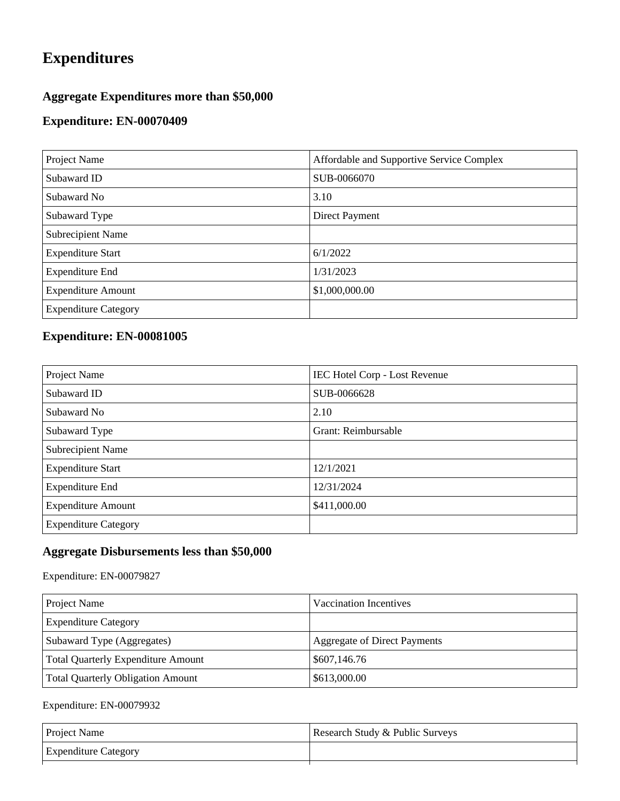# **Expenditures**

### **Aggregate Expenditures more than \$50,000**

### **Expenditure: EN-00070409**

| Project Name                | Affordable and Supportive Service Complex |
|-----------------------------|-------------------------------------------|
| Subaward ID                 | SUB-0066070                               |
| Subaward No                 | 3.10                                      |
| Subaward Type               | Direct Payment                            |
| <b>Subrecipient Name</b>    |                                           |
| <b>Expenditure Start</b>    | 6/1/2022                                  |
| <b>Expenditure End</b>      | 1/31/2023                                 |
| <b>Expenditure Amount</b>   | \$1,000,000.00                            |
| <b>Expenditure Category</b> |                                           |

### **Expenditure: EN-00081005**

| Project Name                | <b>IEC Hotel Corp - Lost Revenue</b> |
|-----------------------------|--------------------------------------|
| Subaward ID                 | SUB-0066628                          |
| Subaward No                 | 2.10                                 |
| Subaward Type               | Grant: Reimbursable                  |
| Subrecipient Name           |                                      |
| <b>Expenditure Start</b>    | 12/1/2021                            |
| <b>Expenditure End</b>      | 12/31/2024                           |
| <b>Expenditure Amount</b>   | \$411,000.00                         |
| <b>Expenditure Category</b> |                                      |

#### **Aggregate Disbursements less than \$50,000**

Expenditure: EN-00079827

| Project Name                             | Vaccination Incentives              |
|------------------------------------------|-------------------------------------|
| <b>Expenditure Category</b>              |                                     |
| Subaward Type (Aggregates)               | <b>Aggregate of Direct Payments</b> |
| Total Quarterly Expenditure Amount       | \$607,146.76                        |
| <b>Total Quarterly Obligation Amount</b> | \$613,000.00                        |

#### Expenditure: EN-00079932

| <b>Project Name</b>         | Research Study & Public Surveys |
|-----------------------------|---------------------------------|
| <b>Expenditure Category</b> |                                 |
|                             |                                 |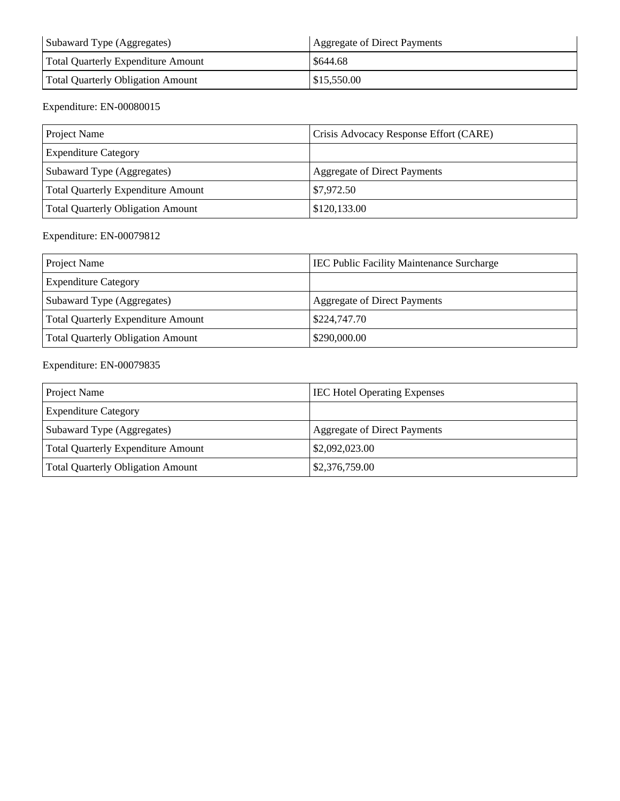| Subaward Type (Aggregates)         | Aggregate of Direct Payments |
|------------------------------------|------------------------------|
| Total Quarterly Expenditure Amount | \$644.68                     |
| Total Quarterly Obligation Amount  | \$15,550.00                  |

#### Expenditure: EN-00080015

| Project Name                              | Crisis Advocacy Response Effort (CARE) |
|-------------------------------------------|----------------------------------------|
| <b>Expenditure Category</b>               |                                        |
| Subaward Type (Aggregates)                | Aggregate of Direct Payments           |
| <b>Total Quarterly Expenditure Amount</b> | \$7,972.50                             |
| Total Quarterly Obligation Amount         | \$120,133.00                           |

#### Expenditure: EN-00079812

| Project Name                             | <b>IEC Public Facility Maintenance Surcharge</b> |
|------------------------------------------|--------------------------------------------------|
| <b>Expenditure Category</b>              |                                                  |
| Subaward Type (Aggregates)               | Aggregate of Direct Payments                     |
| Total Quarterly Expenditure Amount       | \$224,747.70                                     |
| <b>Total Quarterly Obligation Amount</b> | \$290,000.00                                     |

#### Expenditure: EN-00079835

| Project Name                             | <b>IEC Hotel Operating Expenses</b> |
|------------------------------------------|-------------------------------------|
| <b>Expenditure Category</b>              |                                     |
| Subaward Type (Aggregates)               | <b>Aggregate of Direct Payments</b> |
| Total Quarterly Expenditure Amount       | \$2,092,023.00                      |
| <b>Total Quarterly Obligation Amount</b> | \$2,376,759.00                      |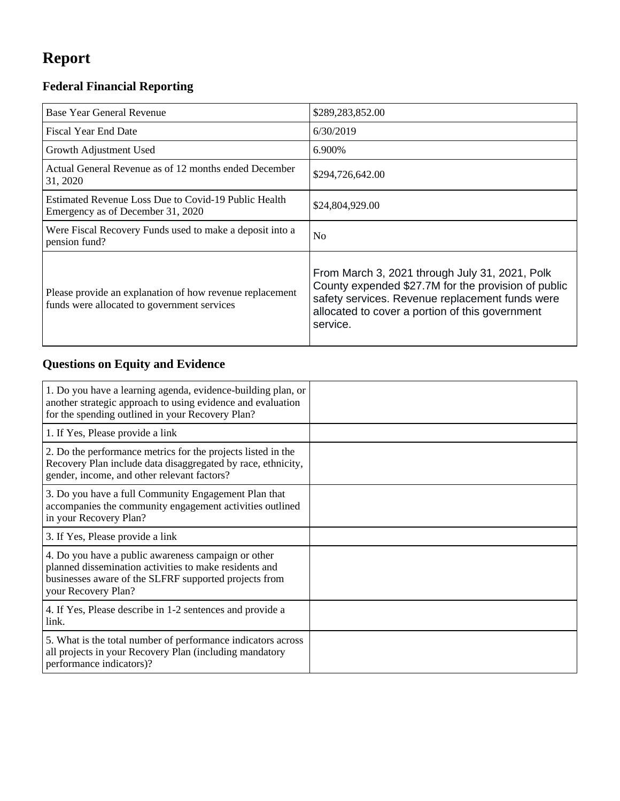# **Report**

## **Federal Financial Reporting**

| Base Year General Revenue                                                                               | \$289,283,852.00                                                                                                                                                                                                        |
|---------------------------------------------------------------------------------------------------------|-------------------------------------------------------------------------------------------------------------------------------------------------------------------------------------------------------------------------|
| <b>Fiscal Year End Date</b>                                                                             | 6/30/2019                                                                                                                                                                                                               |
| Growth Adjustment Used                                                                                  | 6.900%                                                                                                                                                                                                                  |
| Actual General Revenue as of 12 months ended December<br>31, 2020                                       | \$294,726,642.00                                                                                                                                                                                                        |
| Estimated Revenue Loss Due to Covid-19 Public Health<br>Emergency as of December 31, 2020               | \$24,804,929.00                                                                                                                                                                                                         |
| Were Fiscal Recovery Funds used to make a deposit into a<br>pension fund?                               | N <sub>o</sub>                                                                                                                                                                                                          |
| Please provide an explanation of how revenue replacement<br>funds were allocated to government services | From March 3, 2021 through July 31, 2021, Polk<br>County expended \$27.7M for the provision of public<br>safety services. Revenue replacement funds were<br>allocated to cover a portion of this government<br>service. |

## **Questions on Equity and Evidence**

| 1. Do you have a learning agenda, evidence-building plan, or<br>another strategic approach to using evidence and evaluation<br>for the spending outlined in your Recovery Plan?               |  |
|-----------------------------------------------------------------------------------------------------------------------------------------------------------------------------------------------|--|
| 1. If Yes, Please provide a link                                                                                                                                                              |  |
| 2. Do the performance metrics for the projects listed in the<br>Recovery Plan include data disaggregated by race, ethnicity,<br>gender, income, and other relevant factors?                   |  |
| 3. Do you have a full Community Engagement Plan that<br>accompanies the community engagement activities outlined<br>in your Recovery Plan?                                                    |  |
| 3. If Yes, Please provide a link                                                                                                                                                              |  |
| 4. Do you have a public awareness campaign or other<br>planned dissemination activities to make residents and<br>businesses aware of the SLFRF supported projects from<br>your Recovery Plan? |  |
| 4. If Yes, Please describe in 1-2 sentences and provide a<br>link.                                                                                                                            |  |
| 5. What is the total number of performance indicators across<br>all projects in your Recovery Plan (including mandatory<br>performance indicators)?                                           |  |